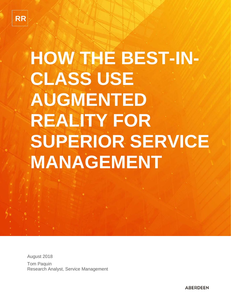# **HOW THE BEST-IN-CLASS USE AUGMENTED REALITY FOR SUPERIOR SERVICE MANAGEMENT**

August 2018 Tom Paquin Research Analyst, Service Management

**ABERDEEN**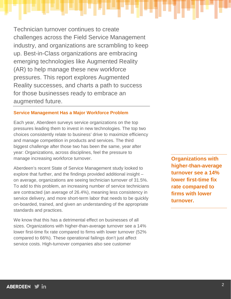Technician turnover continues to create challenges across the Field Service Management industry, and organizations are scrambling to keep up. Best-in-Class organizations are embracing emerging technologies like Augmented Reality (AR) to help manage these new workforce pressures. This report explores Augmented Reality successes, and charts a path to success for those businesses ready to embrace an augmented future.

#### **Service Management Has a Major Workforce Problem**

Each year, Aberdeen surveys service organizations on the top pressures leading them to invest in new technologies. The top two choices consistently relate to business' drive to maximize efficiency and manage competition in products and services. The third biggest challenge after those two has been the same, year after year: Organizations, across disciplines, feel the pressure to manage increasing workforce turnover.

Aberdeen's recent State of Service Management study looked to explore that further, and the findings provided additional insight – on average, organizations are seeing technician turnover of 31.5%. To add to this problem, an increasing number of service technicians are contracted (an average of 26.4%), meaning less consistency in service delivery, and more short-term labor that needs to be quickly on-boarded, trained, and given an understanding of the appropriate standards and practices.

We know that this has a detrimental effect on businesses of all sizes. Organizations with higher-than-average turnover see a 14% lower first-time fix rate compared to firms with lower turnover (52% compared to 66%). These operational failings don't just affect service costs. High-turnover companies also see customer

**Organizations with higher-than-average turnover see a 14% lower first-time fix rate compared to firms with lower turnover.**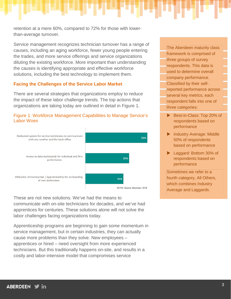retention at a mere 60%, compared to 72% for those with lowerthan-average turnover.

Service management recognizes technician turnover has a range of causes, including an aging workforce, fewer young people entering the trades, and more service offerings and service organizations diluting the existing workforce. More important than understanding the causes is identifying appropriate and effective workforce solutions, including the best technology to implement them.

#### **Facing the Challenges of the Service Labor Market**

There are several strategies that organizations employ to reduce the impact of these labor challenge trends. The top actions that organizations are taking today are outlined in detail in Figure 1.





These are not new solutions. We've had the means to communicate with on-site technicians for decades, and we've had apprentices for centuries. These solutions alone will not solve the labor challenges facing organizations today.

Apprenticeship programs are beginning to gain some momentum in service management, but in certain industries, they can actually cause more problems than they solve. New employees – apprentices or hired – need oversight from more experienced technicians. But this traditionally happens on-site, and results in a costly and labor-intensive model that compromises service

The Aberdeen maturity class framework is comprised of three groups of survey respondents. This data is used to determine overall company performance. Classified by their selfreported performance across several key metrics, each respondent falls into one of three categories:

- Best-in-Class: Top 20% of respondents based on performance
- Industry Average: Middle 50% of respondents based on performance
- ▶ Laggard: Bottom 30% of respondents based on performance

Sometimes we refer to a fourth category, All Others, which combines Industry Average and Laggards.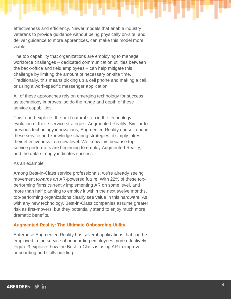effectiveness and efficiency. Newer models that enable industry veterans to provide guidance without being physically on-site, and deliver guidance to more apprentices, can make this model more viable.

The top capability that organizations are employing to manage workforce challenges – dedicated communication utilities between the back-office and field employees – can help mitigate this challenge by limiting the amount of necessary on-site time. Traditionally, this means picking up a cell phone and making a call, or using a work-specific messenger application.

All of these approaches rely on emerging technology for success; as technology improves, so do the range and depth of these service capabilities.

This report explores the next natural step in the technology evolution of these service strategies: Augmented Reality. Similar to previous technology innovations, Augmented Reality doesn't upend these service and knowledge-sharing strategies; it simply takes their effectiveness to a new level. We know this because topservice performers are beginning to employ Augmented Reality, and the data strongly indicates success.

As an example:

Among Best-in-Class service professionals, we're already seeing movement towards an AR-powered future. With 22% of these topperforming firms currently implementing AR on some level, and more than half planning to employ it within the next twelve months, top-performing organizations clearly see value in this hardware. As with any new technology, Best-in-Class companies assume greater risk as first-movers, but they potentially stand to enjoy much more dramatic benefits.

# **Augmented Reality: The Ultimate Onboarding Utility**

Enterprise Augmented Reality has several applications that can be employed in the service of onboarding employees more effectively. Figure 3 explores how the Best-in-Class is using AR to improve onboarding and skills building.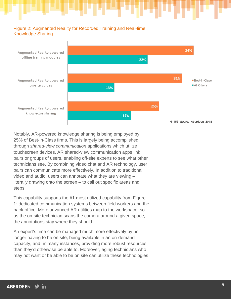# Figure 2: Augmented Reality for Recorded Training and Real-time Knowledge Sharing



Notably, AR-powered knowledge sharing is being employed by 25% of Best-in-Class firms. This is largely being accomplished through *shared-view communication* applications which utilize touchscreen devices. AR shared-view communication apps link pairs or groups of users, enabling off-site experts to see what other technicians see. By combining video chat and AR technology, user pairs can communicate more effectively. In addition to traditional video and audio, users can annotate what they are viewing – literally drawing onto the screen – to call out specific areas and steps.

This capability supports the #1 most utilized capability from Figure 1: dedicated communication systems between field workers and the back-office. More advanced AR utilities map to the workspace, so as the on-site technician scans the camera around a given space, the annotations stay where they should.

An expert's time can be managed much more effectively by no longer having to be on site, being available in an on-demand capacity, and, in many instances, providing more robust resources than they'd otherwise be able to. Moreover, aging technicians who may not want or be able to be on site can utilize these technologies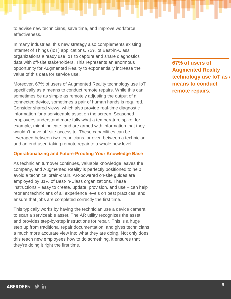to advise new technicians, save time, and improve workforce effectiveness.

In many industries, this new strategy also complements existing Internet of Things (IoT) applications. 72% of Best-in-Class organizations already use IoT to capture and share diagnostics data with off-site stakeholders. This represents an enormous opportunity for Augmented Reality to exponentially increase the value of this data for service use.

Moreover, 67% of users of Augmented Reality technology use IoT specifically as a means to conduct remote repairs. While this can sometimes be as simple as remotely adjusting the output of a connected device, sometimes a pair of human hands is required. Consider shared views, which also provide real-time diagnostic information for a serviceable asset on the screen. Seasoned employees understand more fully what a temperature spike, for example, might indicate, and are armed with information that they wouldn't have off-site access to. These capabilities can be leveraged between two technicians, or even between a technician and an end-user, taking remote repair to a whole new level.

# **Operationalizing and Future-Proofing Your Knowledge Base**

As technician turnover continues, valuable knowledge leaves the company, and Augmented Reality is perfectly positioned to help avoid a technical brain-drain. AR-powered on-site guides are employed by 31% of Best-in-Class organizations. These instructions – easy to create, update, provision, and use – can help reorient technicians of all experience levels on best practices, and ensure that jobs are completed correctly the first time.

This typically works by having the technician use a device camera to scan a serviceable asset. The AR utility recognizes the asset, and provides step-by-step instructions for repair. This is a huge step up from traditional repair documentation, and gives technicians a much more accurate view into what they are doing. Not only does this teach new employees how to do something, it ensures that they're doing it right the first time.

**67% of users of Augmented Reality technology use IoT as a means to conduct remote repairs.**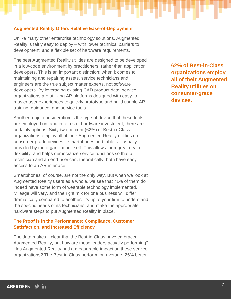#### **Augmented Reality Offers Relative Ease-of-Deployment**

Unlike many other enterprise technology solutions, Augmented Reality is fairly easy to deploy – with lower technical barriers to development, and a flexible set of hardware requirements.

The best Augmented Reality utilities are designed to be developed in a low-code environment by practitioners, rather than application developers. This is an important distinction; when it comes to maintaining and repairing assets, service technicians and engineers are the true subject matter experts, not software developers. By leveraging existing CAD product data, service organizations are utilizing AR platforms designed with easy-tomaster user experiences to quickly prototype and build usable AR training, guidance, and service tools.

Another major consideration is the type of device that these tools are employed on, and in terms of hardware investment, there are certainly options. Sixty-two percent (62%) of Best-in-Class organizations employ all of their Augmented Reality utilities on consumer-grade devices – smartphones and tablets – usually provided by the organization itself. This allows for a great deal of flexibility, and helps democratize service functions so that a technician and an end-user can, theoretically, both have easy access to an AR interface.

Smartphones, of course, are not the only way. But when we look at Augmented Reality users as a whole, we see that 71% of them do indeed have some form of wearable technology implemented. Mileage will vary, and the right mix for one business will differ dramatically compared to another. It's up to your firm to understand the specific needs of its technicians, and make the appropriate hardware steps to put Augmented Reality in place.

# **The Proof is in the Performance: Compliance, Customer Satisfaction, and Increased Efficiency**

The data makes it clear that the Best-in-Class have embraced Augmented Reality, but how are these leaders actually performing? Has Augmented Reality had a measurable impact on these service organizations? The Best-in-Class perform, on average, 25% better

**62% of Best-in-Class organizations employ all of their Augmented Reality utilities on consumer-grade devices.**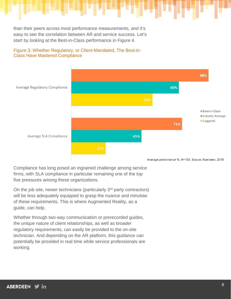than their peers across most performance measurements, and it's easy to see the correlation between AR and service success. Let's start by looking at the Best-in-Class performance in Figure 4.



### Figure 3: Whether Regulatory, or Client-Mandated, The Best-in-Class Have Mastered Compliance

Compliance has long posed an ingrained challenge among service firms, with SLA compliance in particular remaining one of the top five pressures among these organizations.

On the job site, newer technicians (particularly  $3<sup>rd</sup>$  party contractors) will be less adequately equipped to grasp the nuance and minutiae of these requirements. This is where Augmented Reality, as a guide, can help.

Whether through two-way communication or prerecorded guides, the unique nature of client relationships, as well as broader regulatory requirements, can easily be provided to the on-site technician. And depending on the AR platform, this guidance can potentially be provided in real time while service professionals are working.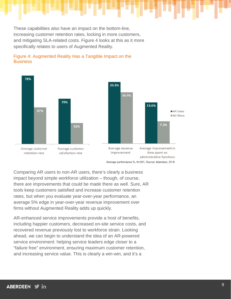These capabilities also have an impact on the bottom-line, increasing customer retention rates, locking in more customers, and mitigating SLA-related costs. Figure 4 looks at this as it more specifically relates to users of Augmented Reality.



#### Figure 4: Augmented Reality Has a Tangible Impact on the **Business**

Average performance %, N=201, Source: Aberdeen, 2018

Comparing AR users to non-AR users, there's clearly a business impact beyond simple workforce utilization – though, of course, there are improvements that could be made there as well. Sure, AR tools keep customers satisfied and increase customer retention rates, but when you evaluate year-over-year performance, an average 5% edge in year-over-year revenue improvement over firms without Augmented Reality adds up quickly.

AR-enhanced service improvements provide a host of benefits, including happier customers, decreased on-site service costs, and recovered revenue previously lost to workforce strain. Looking ahead, we can begin to understand the idea of an AR-powered service environment: helping service leaders edge closer to a "failure free" environment, ensuring maximum customer retention, and increasing service value. This is clearly a win-win, and it's a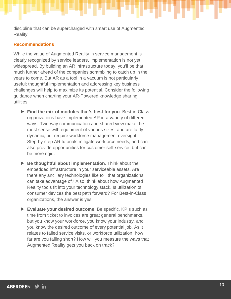discipline that can be supercharged with smart use of Augmented Reality.

#### **Recommendations**

While the value of Augmented Reality in service management is clearly recognized by service leaders, implementation is not yet widespread. By building an AR infrastructure today, you'll be that much further ahead of the companies scrambling to catch up in the years to come. But AR as a tool in a vacuum is not particularly useful; thoughtful implementation and addressing key business challenges will help to maximize its potential. Consider the following guidance when charting your AR-Powered knowledge sharing utilities:

- **Find the mix of modules that's best for you**. Best-in-Class organizations have implemented AR in a variety of different ways. Two-way communication and shared view make the most sense with equipment of various sizes, and are fairly dynamic, but require workforce management oversight. Step-by-step AR tutorials mitigate workforce needs, and can also provide opportunities for customer self-service, but can be more rigid.
- **Be thoughtful about implementation**. Think about the embedded infrastructure in your serviceable assets. Are there any ancillary technologies like IoT that organizations can take advantage of? Also, think about how Augmented Reality tools fit into your technology stack. Is utilization of consumer devices the best path forward? For Best-in-Class organizations, the answer is yes.
- **Evaluate your desired outcome**. Be specific. KPIs such as time from ticket to invoices are great general benchmarks, but you know your workforce, you know your industry, and you know the desired outcome of every potential job. As it relates to failed service visits, or workforce utilization, how far are you falling short? How will you measure the ways that Augmented Reality gets you back on track?